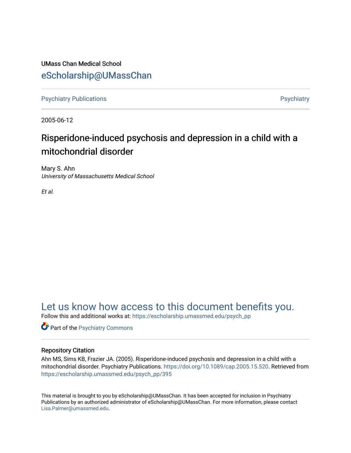UMass Chan Medical School [eScholarship@UMassChan](https://escholarship.umassmed.edu/) 

[Psychiatry Publications](https://escholarship.umassmed.edu/psych_pp) **Provides** [Psychiatry](https://escholarship.umassmed.edu/psychiatry) Psychiatry

2005-06-12

# Risperidone-induced psychosis and depression in a child with a mitochondrial disorder

Mary S. Ahn University of Massachusetts Medical School

Et al.

# [Let us know how access to this document benefits you.](https://arcsapps.umassmed.edu/redcap/surveys/?s=XWRHNF9EJE)

Follow this and additional works at: [https://escholarship.umassmed.edu/psych\\_pp](https://escholarship.umassmed.edu/psych_pp?utm_source=escholarship.umassmed.edu%2Fpsych_pp%2F395&utm_medium=PDF&utm_campaign=PDFCoverPages) 

**Part of the Psychiatry Commons** 

## Repository Citation

Ahn MS, Sims KB, Frazier JA. (2005). Risperidone-induced psychosis and depression in a child with a mitochondrial disorder. Psychiatry Publications. <https://doi.org/10.1089/cap.2005.15.520>. Retrieved from [https://escholarship.umassmed.edu/psych\\_pp/395](https://escholarship.umassmed.edu/psych_pp/395?utm_source=escholarship.umassmed.edu%2Fpsych_pp%2F395&utm_medium=PDF&utm_campaign=PDFCoverPages) 

This material is brought to you by eScholarship@UMassChan. It has been accepted for inclusion in Psychiatry Publications by an authorized administrator of eScholarship@UMassChan. For more information, please contact [Lisa.Palmer@umassmed.edu](mailto:Lisa.Palmer@umassmed.edu).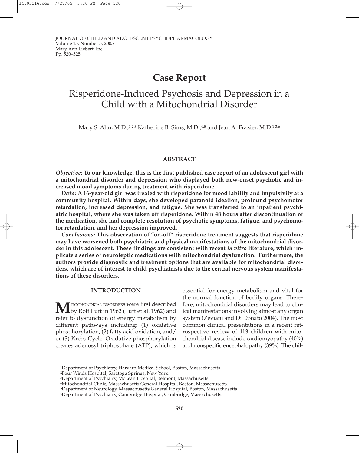## **Case Report**

# Risperidone-Induced Psychosis and Depression in a Child with a Mitochondrial Disorder

Mary S. Ahn, M.D., $12.3$  Katherine B. Sims, M.D., $4.5$  and Jean A. Frazier, M.D. $13.6$ 

## **ABSTRACT**

*Objective:* **To our knowledge, this is the first published case report of an adolescent girl with a mitochondrial disorder and depression who displayed both new-onset psychotic and increased mood symptoms during treatment with risperidone.**

*Data:* **A 16-year-old girl was treated with risperidone for mood lability and impulsivity at a community hospital. Within days, she developed paranoid ideation, profound psychomotor retardation, increased depression, and fatigue. She was transferred to an inpatient psychiatric hospital, where she was taken off risperidone. Within 48 hours after discontinuation of the medication, she had complete resolution of psychotic symptoms, fatigue, and psychomotor retardation, and her depression improved.**

*Conclusions:* **This observation of "on-off" risperidone treatment suggests that risperidone may have worsened both psychiatric and physical manifestations of the mitochondrial disorder in this adolescent. These findings are consistent with recent** *in vitro* **literature, which implicate a series of neuroleptic medications with mitochondrial dysfunction. Furthermore, the authors provide diagnostic and treatment options that are available for mitochondrial disorders, which are of interest to child psychiatrists due to the central nervous system manifestations of these disorders.**

## **INTRODUCTION**

MITOCHONDRIAL DISORDERS were first described<br>
by Rolf Luft in 1962 (Luft et al. 1962) and refer to dysfunction of energy metabolism by different pathways including: (1) oxidative phosphorylation, (2) fatty acid oxidation, and/ or (3) Krebs Cycle. Oxidative phosphorylation creates adenosyl triphosphate (ATP), which is

essential for energy metabolism and vital for the normal function of bodily organs. Therefore, mitochondrial disorders may lead to clinical manifestations involving almost any organ system (Zeviani and Di Donato 2004). The most common clinical presentations in a recent retrospective review of 113 children with mitochondrial disease include cardiomyopathy (40%) and nonspecific encephalopathy (39%). The chil-

2Four Winds Hospital, Saratoga Springs, New York.

<sup>1</sup>Department of Psychiatry, Harvard Medical School, Boston, Massachusetts.

<sup>3</sup>Department of Psychiatry, McLean Hospital, Belmont, Massachusetts.

<sup>4</sup>Mitochondrial Clinic, Massachusetts General Hospital, Boston, Massachusetts.

<sup>5</sup>Department of Neurology, Massachusetts General Hospital, Boston, Massachusetts.

<sup>6</sup>Department of Psychiatry, Cambridge Hospital, Cambridge, Massachusetts.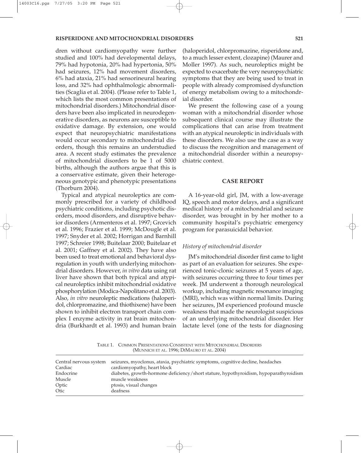#### **RISPERIDONE AND MITOCHONDRIAL DISORDERS 521**

dren without cardiomyopathy were further studied and 100% had developmental delays, 79% had hypotonia, 20% had hypertonia, 50% had seizures, 12% had movement disorders, 6% had ataxia, 21% had sensorineural hearing loss, and 32% had ophthalmologic abnormalities (Scaglia et al. 2004). (Please refer to Table 1, which lists the most common presentations of mitochondrial disorders.) Mitochondrial disorders have been also implicated in neurodegenerative disorders, as neurons are susceptible to oxidative damage. By extension, one would expect that neuropsychiatric manifestations would occur secondary to mitochondrial disorders, though this remains an understudied area. A recent study estimates the prevalence of mitochondrial disorders to be 1 of 5000 births, although the authors argue that this is a conservative estimate, given their heterogeneous genotypic and phenotypic presentations (Thorburn 2004).

Typical and atypical neuroleptics are commonly prescribed for a variety of childhood psychiatric conditions, including psychotic disorders, mood disorders, and disruptive behavior disorders (Armenteros et al. 1997; Grcevich et al. 1996; Frazier et al. 1999; McDougle et al. 1997; Snyder et al. 2002; Horrigan and Barnhill 1997; Schreier 1998; Buitelaar 2000; Buitelaar et al. 2001; Gaffney et al. 2002). They have also been used to treat emotional and behavioral dysregulation in youth with underlying mitochondrial disorders. However, *in vitro* data using rat liver have shown that both typical and atypical neuroleptics inhibit mitochondrial oxidative phosphorylation (Modica-Napolitano et al. 2003). Also, *in vitro* neuroleptic medications (haloperidol, chlorpromazine, and thiothixene) have been shown to inhibit electron transport chain complex I enzyme activity in rat brain mitochondria (Burkhardt et al. 1993) and human brain

(haloperidol, chlorpromazine, risperidone and, to a much lesser extent, clozapine) (Maurer and Moller 1997). As such, neuroleptics might be expected to exacerbate the very neuropsychiatric symptoms that they are being used to treat in people with already compromised dysfunction of energy metabolism owing to a mitochondrial disorder.

We present the following case of a young woman with a mitochondrial disorder whose subsequent clinical course may illustrate the complications that can arise from treatment with an atypical neuroleptic in individuals with these disorders. We also use the case as a way to discuss the recognition and management of a mitochondrial disorder within a neuropsychiatric context.

### **CASE REPORT**

A 16-year-old girl, JM, with a low-average IQ, speech and motor delays, and a significant medical history of a mitochondrial and seizure disorder, was brought in by her mother to a community hospital's psychiatric emergency program for parasuicidal behavior.

#### *History of mitochondrial disorder*

JM's mitochondrial disorder first came to light as part of an evaluation for seizures. She experienced tonic-clonic seizures at 5 years of age, with seizures occurring three to four times per week. JM underwent a thorough neurological workup, including magnetic resonance imaging (MRI), which was within normal limits. During her seizures, JM experienced profound muscle weakness that made the neurologist suspicious of an underlying mitochondrial disorder. Her lactate level (one of the tests for diagnosing

TABLE 1. COMMON PRESENTATIONS CONSISTENT WITH MITOCHONDRIAL DISORDERS (MUNNICH ET AL. 1996; DIMAURO ET AL. 2004)

| seizures, myoclonus, ataxia, psychiatric symptoms, cognitive decline, headaches       |
|---------------------------------------------------------------------------------------|
| cardiomyopathy, heart block                                                           |
| diabetes, growth-hormone deficiency/short stature, hypothyroidism, hypoparathyroidism |
| muscle weakness                                                                       |
| ptosis, visual changes                                                                |
| deafness                                                                              |
|                                                                                       |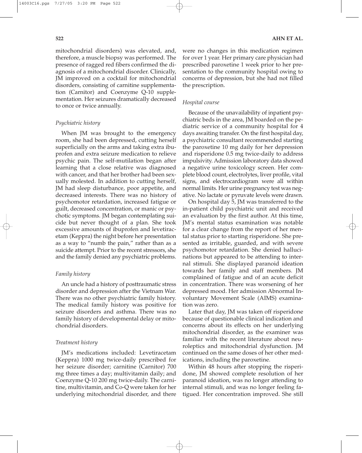mitochondrial disorders) was elevated, and, therefore, a muscle biopsy was performed. The presence of ragged red fibers confirmed the diagnosis of a mitochondrial disorder. Clinically, JM improved on a cocktail for mitochondrial disorders, consisting of carnitine supplementation (Carnitor) and Coenzyme Q-10 supplementation. Her seizures dramatically decreased to once or twice annually.

## *Psychiatric history*

When JM was brought to the emergency room, she had been depressed, cutting herself superficially on the arms and taking extra ibuprofen and extra seizure medication to relieve psychic pain. The self-mutilation began after learning that a close relative was diagnosed with cancer, and that her brother had been sexually molested. In addition to cutting herself, JM had sleep disturbance, poor appetite, and decreased interests. There was no history of psychomotor retardation, increased fatigue or guilt, decreased concentration, or manic or psychotic symptoms. JM began contemplating suicide but never thought of a plan. She took excessive amounts of ibuprofen and levetiracetam (Keppra) the night before her presentation as a way to "numb the pain," rather than as a suicide attempt. Prior to the recent stressors, she and the family denied any psychiatric problems.

## *Family history*

An uncle had a history of posttraumatic stress disorder and depression after the Vietnam War. There was no other psychiatric family history. The medical family history was positive for seizure disorders and asthma. There was no family history of developmental delay or mitochondrial disorders.

## *Treatment history*

JM's medications included: Levetiracetam (Keppra) 1000 mg twice-daily prescribed for her seizure disorder; carnitine (Carnitor) 700 mg three times a day; multivitamin daily; and Coenzyme Q-10 200 mg twice-daily. The carnitine, multivitamin, and Co-Q were taken for her underlying mitochondrial disorder, and there were no changes in this medication regimen for over 1 year. Her primary care physician had prescribed paroxetine 1 week prior to her presentation to the community hospital owing to concerns of depression, but she had not filled the prescription.

## *Hospital course*

Because of the unavailability of inpatient psychiatric beds in the area, JM boarded on the pediatric service of a community hospital for 4 days awaiting transfer. On the first hospital day, a psychiatric consultant recommended starting the paroxetine 10 mg daily for her depression and risperidone 0.5 mg twice-daily to address impulsivity. Admission laboratory data showed a negative urine toxicology screen. Her complete blood count, electrolytes, liver profile, vital signs, and electrocardiogram were all within normal limits. Her urine pregnancy test was negative. No lactate or pyruvate levels were drawn.

On hospital day 5, JM was transferred to the in-patient child psychiatric unit and received an evaluation by the first author. At this time, JM's mental status examination was notable for a clear change from the report of her mental status prior to starting risperidone. She presented as irritable, guarded, and with severe psychomotor retardation. She denied hallucinations but appeared to be attending to internal stimuli. She displayed paranoid ideation towards her family and staff members. JM complained of fatigue and of an acute deficit in concentration. There was worsening of her depressed mood. Her admission Abnormal Involuntary Movement Scale (AIMS) examination was zero.

Later that day, JM was taken off risperidone because of questionable clinical indication and concerns about its effects on her underlying mitochondrial disorder, as the examiner was familiar with the recent literature about neuroleptics and mitochondrial dysfunction. JM continued on the same doses of her other medications, including the paroxetine.

Within 48 hours after stopping the risperidone, JM showed complete resolution of her paranoid ideation, was no longer attending to internal stimuli, and was no longer feeling fatigued. Her concentration improved. She still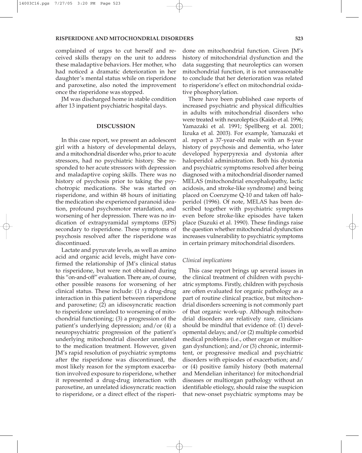complained of urges to cut herself and received skills therapy on the unit to address these maladaptive behaviors. Her mother, who had noticed a dramatic deterioration in her daughter's mental status while on risperidone and paroxetine, also noted the improvement once the risperidone was stopped.

JM was discharged home in stable condition after 13 inpatient psychiatric hospital days.

### **DISCUSSION**

In this case report, we present an adolescent girl with a history of developmental delays, and a mitochondrial disorder who, prior to acute stressors, had no psychiatric history. She responded to her acute stressors with depression and maladaptive coping skills. There was no history of psychosis prior to taking the psychotropic medications. She was started on risperidone, and within 48 hours of initiating the medication she experienced paranoid ideation, profound psychomotor retardation, and worsening of her depression. There was no indication of extrapyramidal symptoms (EPS) secondary to risperidone. These symptoms of psychosis resolved after the risperidone was discontinued.

Lactate and pyruvate levels, as well as amino acid and organic acid levels, might have confirmed the relationship of JM's clinical status to risperidone, but were not obtained during this "on-and-off" evaluation. There are, of course, other possible reasons for worsening of her clinical status. These include: (1) a drug-drug interaction in this patient between risperidone and paroxetine; (2) an idisosyncratic reaction to risperidone unrelated to worsening of mitochondrial functioning; (3) a progression of the patient's underlying depression; and/or (4) a neuropsychiatric progression of the patient's underlying mitochondrial disorder unrelated to the medication treatment. However, given JM's rapid resolution of psychiatric symptoms after the risperidone was discontinued, the most likely reason for the symptom exacerbation involved exposure to risperidone, whether it represented a drug-drug interaction with paroxetine, an unrelated idiosyncratic reaction to risperidone, or a direct effect of the risperi-

done on mitochondrial function. Given JM's history of mitochondrial dysfunction and the data suggesting that neuroleptics can worsen mitochondrial function, it is not unreasonable to conclude that her deterioration was related to risperidone's effect on mitochondrial oxidative phosphorylation.

There have been published case reports of increased psychiatric and physical difficulties in adults with mitochondrial disorders who were treated with neuroleptics (Kaido et al. 1996; Yamazaki et al. 1991; Spellberg et al. 2001; Iizuka et al. 2003). For example, Yamazaki et al. report a 37-year-old male with an 8-year history of psychosis and dementia, who later developed hyperpyrexia and dystonia after haloperidol administration. Both his dystonia and psychiatric symptoms resolved after being diagnosed with a mitochondrial disorder named MELAS (mitochondrial encephalopathy, lactic acidosis, and stroke-like syndrome) and being placed on Coenzyme Q-10 and taken off haloperidol (1996). Of note, MELAS has been described together with psychiatric symptoms even before stroke-like episodes have taken place (Suzuki et al. 1990). These findings raise the question whether mitochondrial dysfunction increases vulnerability to psychiatric symptoms in certain primary mitochondrial disorders.

## *Clinical implications*

This case report brings up several issues in the clinical treatment of children with psychiatric symptoms. Firstly, children with psychosis are often evaluated for organic pathology as a part of routine clinical practice, but mitochondrial disorders screening is not commonly part of that organic work-up. Although mitochondrial disorders are relatively rare, clinicians should be mindful that evidence of: (1) developmental delays; and/or (2) multiple comorbid medical problems (i.e., other organ or multiorgan dysfunction); and/or (3) chronic, intermittent, or progressive medical and psychiatric disorders with episodes of exacerbation; and/ or (4) positive family history (both maternal and Mendelian inheritance) for mitochondrial diseases or multiorgan pathology without an identifiable etiology, should raise the suspicion that new-onset psychiatric symptoms may be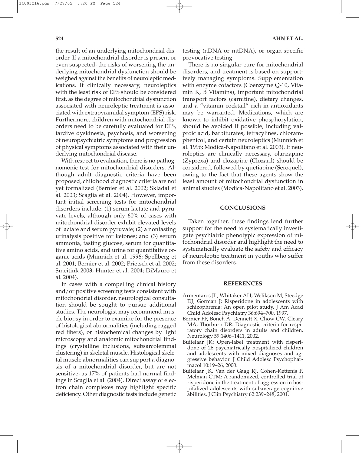the result of an underlying mitochondrial disorder. If a mitochondrial disorder is present or even suspected, the risks of worsening the underlying mitochondrial dysfunction should be weighed against the benefits of neuroleptic medications. If clinically necessary, neuroleptics with the least risk of EPS should be considered first, as the degree of mitochondrial dysfunction associated with neuroleptic treatment is associated with extrapyramidal symptom (EPS) risk. Furthermore, children with mitochondrial disorders need to be carefully evaluated for EPS, tardive dyskinesia, psychosis, and worsening of neuropsychiatric symptoms and progression of physical symptoms associated with their underlying mitochondrial disease.

With respect to evaluation, there is no pathognomonic test for mitochondrial disorders. Although adult diagnostic criteria have been proposed, childhood diagnostic criteria are not yet formalized (Bernier et al. 2002; Skladal et al. 2003; Scaglia et al. 2004). However, important initial screening tests for mitochondrial disorders include: (1) serum lactate and pyruvate levels, although only 60% of cases with mitochondrial disorder exhibit elevated levels of lactate and serum pyruvate; (2) a nonfasting urinalysis positive for ketones; and (3) serum ammonia, fasting glucose, serum for quantitative amino acids, and urine for quantitative organic acids (Munnich et al. 1996; Spellberg et al. 2001; Bernier et al. 2002; Prietsch et al. 2002; Smeitink 2003; Hunter et al. 2004; DiMauro et al. 2004).

In cases with a compelling clinical history and/or positive screening tests consistent with mitochondrial disorder, neurological consultation should be sought to pursue additional studies. The neurologist may recommend muscle biopsy in order to examine for the presence of histological abnormalities (including ragged red fibers), or histochemical changes by light microscopy and anatomic mitochondrial findings (crystalline inclusions, subsarcolemmal clustering) in skeletal muscle. Histological skeletal muscle abnormalities can support a diagnosis of a mitochondrial disorder, but are not sensitive, as 17% of patients had normal findings in Scaglia et al. (2004). Direct assay of electron chain complexes may highlight specific deficiency. Other diagnostic tests include genetic testing (nDNA or mtDNA), or organ-specific provocative testing.

There is no singular cure for mitochondrial disorders, and treatment is based on supportively managing symptoms. Supplementation with enzyme cofactors (Coenzyme Q-10, Vitamin K, B Vitamins), important mitochondrial transport factors (carnitine), dietary changes, and a "vitamin cocktail" rich in antioxidants may be warranted. Medications, which are known to inhibit oxidative phosphorylation, should be avoided if possible, including valproic acid, barbiturates, tetracylines, chloramphenicol, and certain neuroleptics (Munnich et al. 1996; Modica-Napolitano et al. 2003). If neuroleptics are clinically necessary, olanzapine (Zyprexa) and clozapine (Clozaril) should be considered, followed by quetiapine (Seroquel), owing to the fact that these agents show the least amount of mitochondrial dysfunction in animal studies (Modica-Napolitano et al. 2003).

### **CONCLUSIONS**

Taken together, these findings lend further support for the need to systematically investigate psychiatric phenotypic expression of mitochondrial disorder and highlight the need to systematically evaluate the safety and efficacy of neuroleptic treatment in youths who suffer from these disorders.

### **REFERENCES**

- Armentaros JL, Whitaker AH, Welikson M, Steedge DJ, Gorman J: Risperidone in adolescents with schizophrenia: An open pilot study. J Am Acad Child Adolesc Psychiatry 36:694–700, 1997.
- Bernier FP, Boneh A, Dennett X, Chow CW, Cleary MA, Thorburn DR: Diagnostic criteria for respiratory chain disorders in adults and children. Neurology 59:1406–1411, 2002.
- Buitelaar JK: Open-label treatment with risperidone of 26 psychiatrically hospitalized children and adolescents with mixed diagnoses and aggressive behavior. J Child Adolesc Psychopharmacol 10:19–26, 2000.
- Buitelaar JK, Van der Gaag RJ, Cohen-Kettenis P, Melman CTM: A randomized, controlled trial of risperidone in the treatment of aggression in hospitalized adolescents with subaverage cognitive abilities. J Clin Psychiatry 62:239–248, 2001.